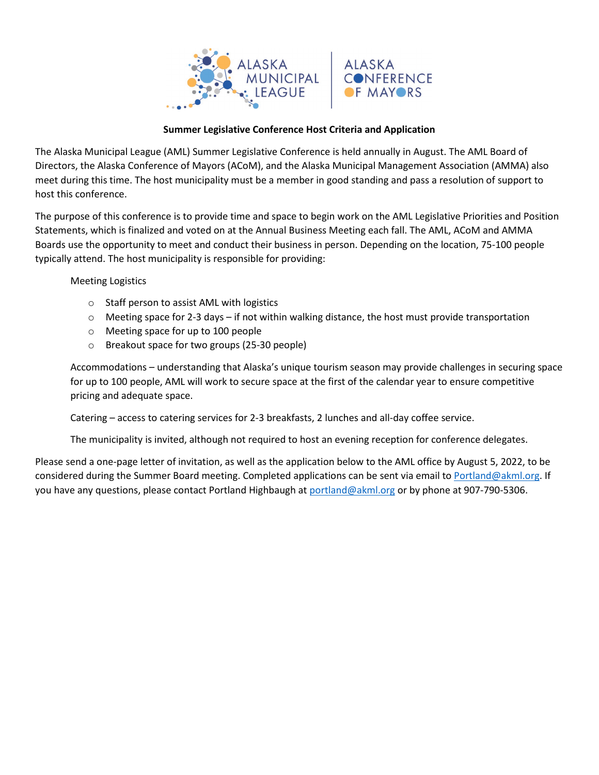



## **Summer Legislative Conference Host Criteria and Application**

The Alaska Municipal League (AML) Summer Legislative Conference is held annually in August. The AML Board of Directors, the Alaska Conference of Mayors (ACoM), and the Alaska Municipal Management Association (AMMA) also meet during this time. The host municipality must be a member in good standing and pass a resolution of support to host this conference.

The purpose of this conference is to provide time and space to begin work on the AML Legislative Priorities and Position Statements, which is finalized and voted on at the Annual Business Meeting each fall. The AML, ACoM and AMMA Boards use the opportunity to meet and conduct their business in person. Depending on the location, 75-100 people typically attend. The host municipality is responsible for providing:

Meeting Logistics

- o Staff person to assist AML with logistics
- $\circ$  Meeting space for 2-3 days if not within walking distance, the host must provide transportation
- o Meeting space for up to 100 people
- o Breakout space for two groups (25-30 people)

Accommodations – understanding that Alaska's unique tourism season may provide challenges in securing space for up to 100 people, AML will work to secure space at the first of the calendar year to ensure competitive pricing and adequate space.

Catering – access to catering services for 2-3 breakfasts, 2 lunches and all-day coffee service.

The municipality is invited, although not required to host an evening reception for conference delegates.

Please send a one-page letter of invitation, as well as the application below to the AML office by August 5, 2022, to be considered during the Summer Board meeting. Completed applications can be sent via email to [Portland@akml.org.](mailto:Portland@akml.org) If you have any questions, please contact Portland Highbaugh at [portland@akml.org](mailto:portland@akml.org) or by phone at 907-790-5306.